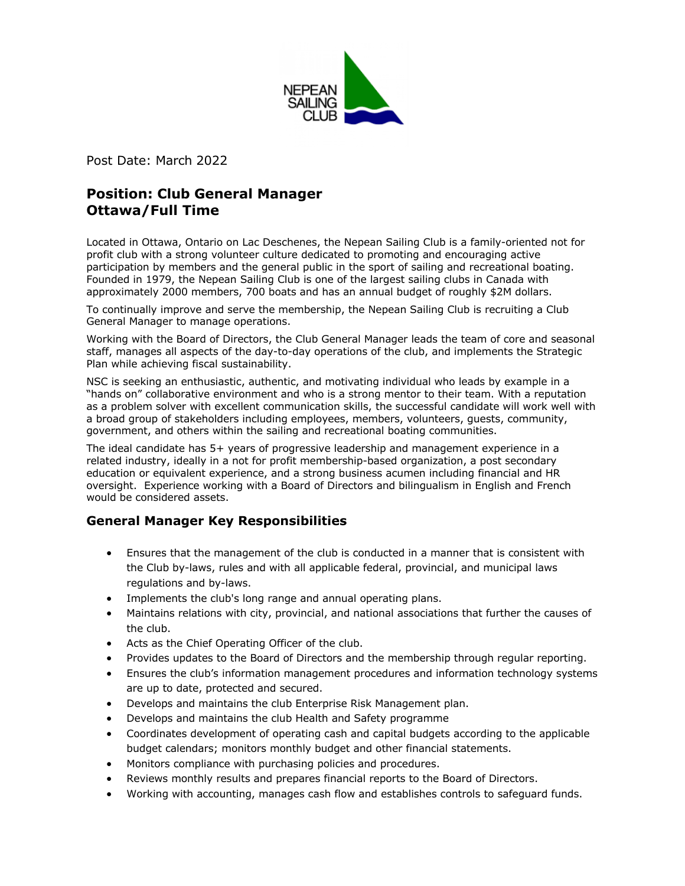

Post Date: March 2022

# **Position: Club General Manager Ottawa/Full Time**

Located in Ottawa, Ontario on Lac Deschenes, the Nepean Sailing Club is a family-oriented not for profit club with a strong volunteer culture dedicated to promoting and encouraging active participation by members and the general public in the sport of sailing and recreational boating. Founded in 1979, the Nepean Sailing Club is one of the largest sailing clubs in Canada with approximately 2000 members, 700 boats and has an annual budget of roughly \$2M dollars.

To continually improve and serve the membership, the Nepean Sailing Club is recruiting a Club General Manager to manage operations.

Working with the Board of Directors, the Club General Manager leads the team of core and seasonal staff, manages all aspects of the day-to-day operations of the club, and implements the Strategic Plan while achieving fiscal sustainability.

NSC is seeking an enthusiastic, authentic, and motivating individual who leads by example in a "hands on" collaborative environment and who is a strong mentor to their team. With a reputation as a problem solver with excellent communication skills, the successful candidate will work well with a broad group of stakeholders including employees, members, volunteers, guests, community, government, and others within the sailing and recreational boating communities.

The ideal candidate has 5+ years of progressive leadership and management experience in a related industry, ideally in a not for profit membership-based organization, a post secondary education or equivalent experience, and a strong business acumen including financial and HR oversight. Experience working with a Board of Directors and bilingualism in English and French would be considered assets.

## **General Manager Key Responsibilities**

- Ensures that the management of the club is conducted in a manner that is consistent with the Club by-laws, rules and with all applicable federal, provincial, and municipal laws regulations and by-laws.
- Implements the club's long range and annual operating plans.
- Maintains relations with city, provincial, and national associations that further the causes of the club.
- Acts as the Chief Operating Officer of the club.
- Provides updates to the Board of Directors and the membership through regular reporting.
- Ensures the club's information management procedures and information technology systems are up to date, protected and secured.
- Develops and maintains the club Enterprise Risk Management plan.
- Develops and maintains the club Health and Safety programme
- Coordinates development of operating cash and capital budgets according to the applicable budget calendars; monitors monthly budget and other financial statements.
- Monitors compliance with purchasing policies and procedures.
- Reviews monthly results and prepares financial reports to the Board of Directors.
- Working with accounting, manages cash flow and establishes controls to safeguard funds.